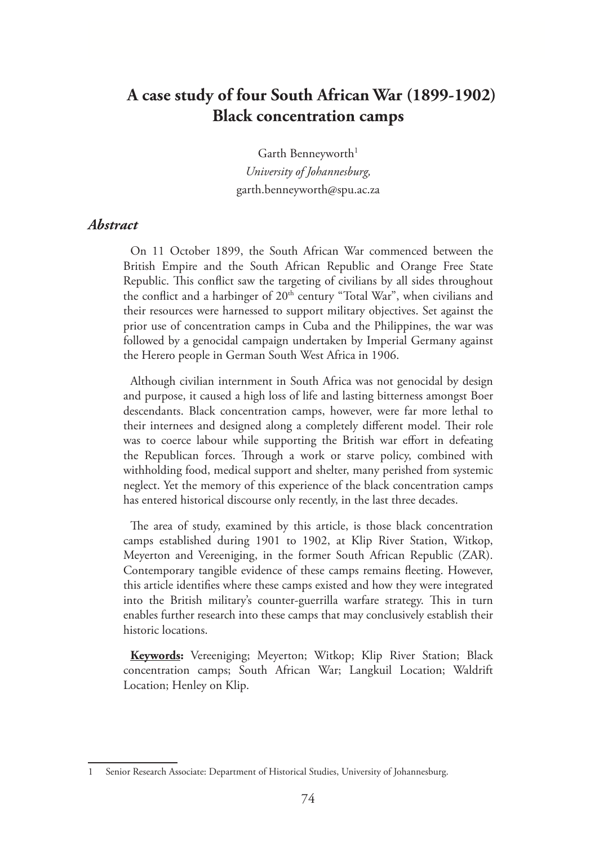# **A case study of four South African War (1899-1902) Black concentration camps**

Garth Benneyworth<sup>1</sup> *University of Johannesburg,* garth.benneyworth@spu.ac.za

#### *Abstract*

On 11 October 1899, the South African War commenced between the British Empire and the South African Republic and Orange Free State Republic. This conflict saw the targeting of civilians by all sides throughout the conflict and a harbinger of  $20<sup>th</sup>$  century "Total War", when civilians and their resources were harnessed to support military objectives. Set against the prior use of concentration camps in Cuba and the Philippines, the war was followed by a genocidal campaign undertaken by Imperial Germany against the Herero people in German South West Africa in 1906.

Although civilian internment in South Africa was not genocidal by design and purpose, it caused a high loss of life and lasting bitterness amongst Boer descendants. Black concentration camps, however, were far more lethal to their internees and designed along a completely different model. Their role was to coerce labour while supporting the British war effort in defeating the Republican forces. Through a work or starve policy, combined with withholding food, medical support and shelter, many perished from systemic neglect. Yet the memory of this experience of the black concentration camps has entered historical discourse only recently, in the last three decades.

The area of study, examined by this article, is those black concentration camps established during 1901 to 1902, at Klip River Station, Witkop, Meyerton and Vereeniging, in the former South African Republic (ZAR). Contemporary tangible evidence of these camps remains fleeting. However, this article identifies where these camps existed and how they were integrated into the British military's counter-guerrilla warfare strategy. This in turn enables further research into these camps that may conclusively establish their historic locations.

**Keywords:** Vereeniging; Meyerton; Witkop; Klip River Station; Black concentration camps; South African War; Langkuil Location; Waldrift Location; Henley on Klip.

<sup>1</sup> Senior Research Associate: Department of Historical Studies, University of Johannesburg.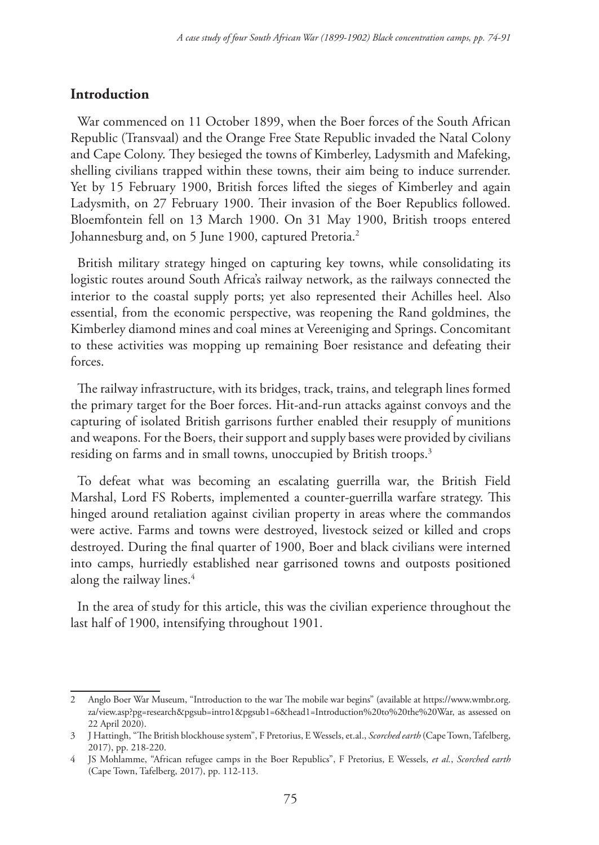## **Introduction**

War commenced on 11 October 1899, when the Boer forces of the South African Republic (Transvaal) and the Orange Free State Republic invaded the Natal Colony and Cape Colony. They besieged the towns of Kimberley, Ladysmith and Mafeking, shelling civilians trapped within these towns, their aim being to induce surrender. Yet by 15 February 1900, British forces lifted the sieges of Kimberley and again Ladysmith, on 27 February 1900. Their invasion of the Boer Republics followed. Bloemfontein fell on 13 March 1900. On 31 May 1900, British troops entered Johannesburg and, on 5 June 1900, captured Pretoria.<sup>2</sup>

British military strategy hinged on capturing key towns, while consolidating its logistic routes around South Africa's railway network, as the railways connected the interior to the coastal supply ports; yet also represented their Achilles heel. Also essential, from the economic perspective, was reopening the Rand goldmines, the Kimberley diamond mines and coal mines at Vereeniging and Springs. Concomitant to these activities was mopping up remaining Boer resistance and defeating their forces.

The railway infrastructure, with its bridges, track, trains, and telegraph lines formed the primary target for the Boer forces. Hit-and-run attacks against convoys and the capturing of isolated British garrisons further enabled their resupply of munitions and weapons. For the Boers, their support and supply bases were provided by civilians residing on farms and in small towns, unoccupied by British troops.<sup>3</sup>

To defeat what was becoming an escalating guerrilla war, the British Field Marshal, Lord FS Roberts, implemented a counter-guerrilla warfare strategy. This hinged around retaliation against civilian property in areas where the commandos were active. Farms and towns were destroyed, livestock seized or killed and crops destroyed. During the final quarter of 1900, Boer and black civilians were interned into camps, hurriedly established near garrisoned towns and outposts positioned along the railway lines.<sup>4</sup>

In the area of study for this article, this was the civilian experience throughout the last half of 1900, intensifying throughout 1901.

<sup>2</sup> Anglo Boer War Museum, "Introduction to the war The mobile war begins" (available at https://www.wmbr.org. za/view.asp?pg=research&pgsub=intro1&pgsub1=6&head1=Introduction%20to%20the%20War, as assessed on 22 April 2020).

<sup>3</sup> J Hattingh, "The British blockhouse system", F Pretorius, E Wessels, et.al., *Scorched earth* (Cape Town, Tafelberg, 2017), pp. 218-220.

<sup>4</sup> JS Mohlamme, "African refugee camps in the Boer Republics", F Pretorius, E Wessels, *et al.*, *Scorched earth* (Cape Town, Tafelberg, 2017), pp. 112-113.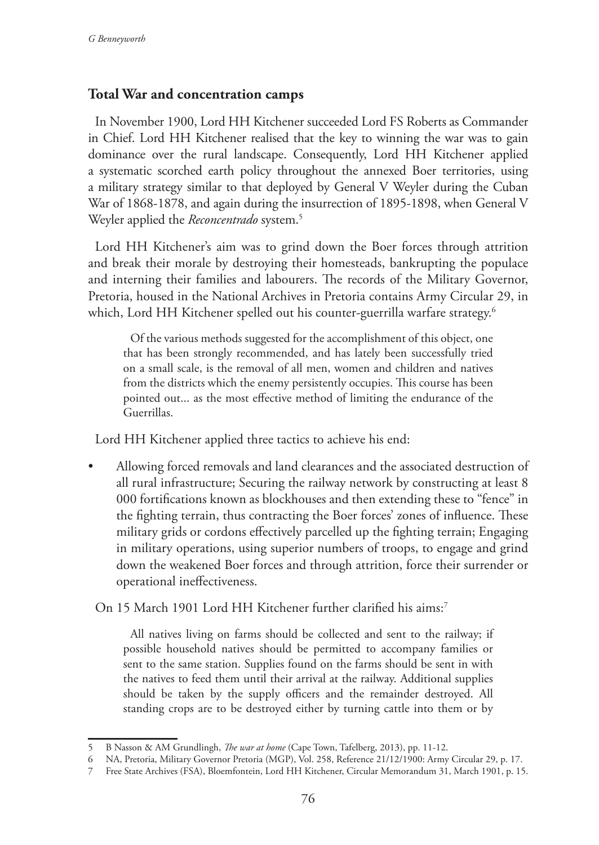# **Total War and concentration camps**

In November 1900, Lord HH Kitchener succeeded Lord FS Roberts as Commander in Chief. Lord HH Kitchener realised that the key to winning the war was to gain dominance over the rural landscape. Consequently, Lord HH Kitchener applied a systematic scorched earth policy throughout the annexed Boer territories, using a military strategy similar to that deployed by General V Weyler during the Cuban War of 1868-1878, and again during the insurrection of 1895-1898, when General V Weyler applied the *Reconcentrado* system.5

Lord HH Kitchener's aim was to grind down the Boer forces through attrition and break their morale by destroying their homesteads, bankrupting the populace and interning their families and labourers. The records of the Military Governor, Pretoria, housed in the National Archives in Pretoria contains Army Circular 29, in which, Lord HH Kitchener spelled out his counter-guerrilla warfare strategy.<sup>6</sup>

Of the various methods suggested for the accomplishment of this object, one that has been strongly recommended, and has lately been successfully tried on a small scale, is the removal of all men, women and children and natives from the districts which the enemy persistently occupies. This course has been pointed out... as the most effective method of limiting the endurance of the Guerrillas.

Lord HH Kitchener applied three tactics to achieve his end:

• Allowing forced removals and land clearances and the associated destruction of all rural infrastructure; Securing the railway network by constructing at least 8 000 fortifications known as blockhouses and then extending these to "fence" in the fighting terrain, thus contracting the Boer forces' zones of influence. These military grids or cordons effectively parcelled up the fighting terrain; Engaging in military operations, using superior numbers of troops, to engage and grind down the weakened Boer forces and through attrition, force their surrender or operational ineffectiveness.

On 15 March 1901 Lord HH Kitchener further clarified his aims:7

All natives living on farms should be collected and sent to the railway; if possible household natives should be permitted to accompany families or sent to the same station. Supplies found on the farms should be sent in with the natives to feed them until their arrival at the railway. Additional supplies should be taken by the supply officers and the remainder destroyed. All standing crops are to be destroyed either by turning cattle into them or by

<sup>5</sup> B Nasson & AM Grundlingh, *The war at home* (Cape Town, Tafelberg, 2013), pp. 11-12.

<sup>6</sup> NA, Pretoria, Military Governor Pretoria (MGP), Vol. 258, Reference 21/12/1900: Army Circular 29, p. 17.

<sup>7</sup> Free State Archives (FSA), Bloemfontein, Lord HH Kitchener, Circular Memorandum 31, March 1901, p. 15.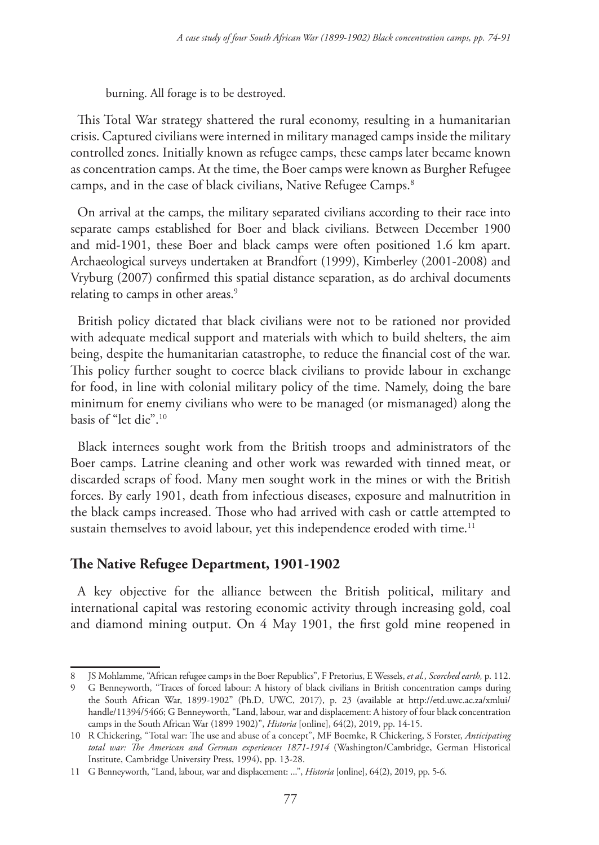burning. All forage is to be destroyed.

This Total War strategy shattered the rural economy, resulting in a humanitarian crisis. Captured civilians were interned in military managed camps inside the military controlled zones. Initially known as refugee camps, these camps later became known as concentration camps. At the time, the Boer camps were known as Burgher Refugee camps, and in the case of black civilians, Native Refugee Camps.<sup>8</sup>

On arrival at the camps, the military separated civilians according to their race into separate camps established for Boer and black civilians. Between December 1900 and mid-1901, these Boer and black camps were often positioned 1.6 km apart. Archaeological surveys undertaken at Brandfort (1999), Kimberley (2001-2008) and Vryburg (2007) confirmed this spatial distance separation, as do archival documents relating to camps in other areas.<sup>9</sup>

British policy dictated that black civilians were not to be rationed nor provided with adequate medical support and materials with which to build shelters, the aim being, despite the humanitarian catastrophe, to reduce the financial cost of the war. This policy further sought to coerce black civilians to provide labour in exchange for food, in line with colonial military policy of the time. Namely, doing the bare minimum for enemy civilians who were to be managed (or mismanaged) along the basis of "let die".10

Black internees sought work from the British troops and administrators of the Boer camps. Latrine cleaning and other work was rewarded with tinned meat, or discarded scraps of food. Many men sought work in the mines or with the British forces. By early 1901, death from infectious diseases, exposure and malnutrition in the black camps increased. Those who had arrived with cash or cattle attempted to sustain themselves to avoid labour, yet this independence eroded with time.<sup>11</sup>

## **The Native Refugee Department, 1901-1902**

A key objective for the alliance between the British political, military and international capital was restoring economic activity through increasing gold, coal and diamond mining output. On 4 May 1901, the first gold mine reopened in

<sup>8</sup> JS Mohlamme, "African refugee camps in the Boer Republics", F Pretorius, E Wessels, *et al.*, *Scorched earth,* p. 112.

<sup>9</sup> G Benneyworth, "Traces of forced labour: A history of black civilians in British concentration camps during the South African War, 1899-1902" (Ph.D, UWC, 2017), p. 23 (available at http://etd.uwc.ac.za/xmlui/ handle/11394/5466; G Benneyworth, "Land, labour, war and displacement: A history of four black concentration camps in the South African War (1899 1902)", *Historia* [online], 64(2), 2019, pp. 14-15.

<sup>10</sup> R Chickering, "Total war: The use and abuse of a concept", MF Boemke, R Chickering, S Forster, *Anticipating total war: The American and German experiences 1871-1914* (Washington/Cambridge, German Historical Institute, Cambridge University Press, 1994), pp. 13-28.

<sup>11</sup> G Benneyworth, "Land, labour, war and displacement: ...", *Historia* [online], 64(2), 2019, pp. 5-6.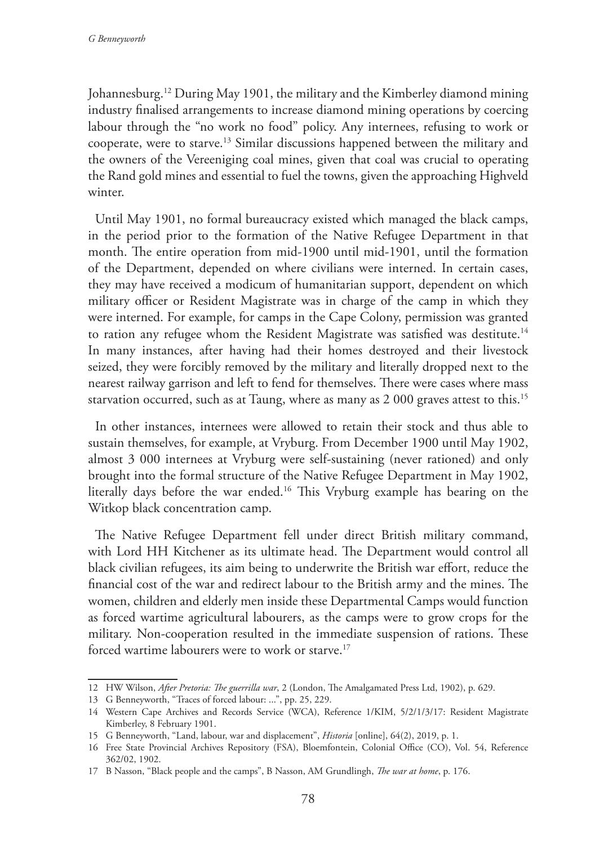Johannesburg.12 During May 1901, the military and the Kimberley diamond mining industry finalised arrangements to increase diamond mining operations by coercing labour through the "no work no food" policy. Any internees, refusing to work or cooperate, were to starve.13 Similar discussions happened between the military and the owners of the Vereeniging coal mines, given that coal was crucial to operating the Rand gold mines and essential to fuel the towns, given the approaching Highveld winter.

Until May 1901, no formal bureaucracy existed which managed the black camps, in the period prior to the formation of the Native Refugee Department in that month. The entire operation from mid-1900 until mid-1901, until the formation of the Department, depended on where civilians were interned. In certain cases, they may have received a modicum of humanitarian support, dependent on which military officer or Resident Magistrate was in charge of the camp in which they were interned. For example, for camps in the Cape Colony, permission was granted to ration any refugee whom the Resident Magistrate was satisfied was destitute.<sup>14</sup> In many instances, after having had their homes destroyed and their livestock seized, they were forcibly removed by the military and literally dropped next to the nearest railway garrison and left to fend for themselves. There were cases where mass starvation occurred, such as at Taung, where as many as 2 000 graves attest to this.<sup>15</sup>

In other instances, internees were allowed to retain their stock and thus able to sustain themselves, for example, at Vryburg. From December 1900 until May 1902, almost 3 000 internees at Vryburg were self-sustaining (never rationed) and only brought into the formal structure of the Native Refugee Department in May 1902, literally days before the war ended.16 This Vryburg example has bearing on the Witkop black concentration camp.

The Native Refugee Department fell under direct British military command, with Lord HH Kitchener as its ultimate head. The Department would control all black civilian refugees, its aim being to underwrite the British war effort, reduce the financial cost of the war and redirect labour to the British army and the mines. The women, children and elderly men inside these Departmental Camps would function as forced wartime agricultural labourers, as the camps were to grow crops for the military. Non-cooperation resulted in the immediate suspension of rations. These forced wartime labourers were to work or starve.<sup>17</sup>

<sup>12</sup> HW Wilson, *After Pretoria: The guerrilla war*, 2 (London, The Amalgamated Press Ltd, 1902), p. 629.

<sup>13</sup> G Benneyworth, "Traces of forced labour: ...", pp. 25, 229.

<sup>14</sup> Western Cape Archives and Records Service (WCA), Reference 1/KIM, 5/2/1/3/17: Resident Magistrate Kimberley, 8 February 1901.

<sup>15</sup> G Benneyworth, "Land, labour, war and displacement", *Historia* [online], 64(2), 2019, p. 1.

<sup>16</sup> Free State Provincial Archives Repository (FSA), Bloemfontein, Colonial Office (CO), Vol. 54, Reference 362/02, 1902.

<sup>17</sup> B Nasson, "Black people and the camps", B Nasson, AM Grundlingh, *The war at home*, p. 176.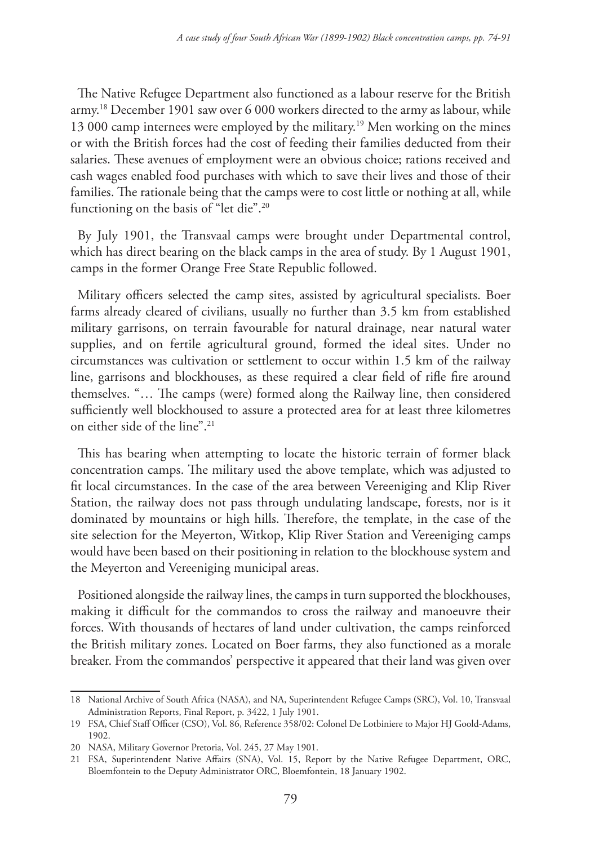The Native Refugee Department also functioned as a labour reserve for the British army.18 December 1901 saw over 6 000 workers directed to the army as labour, while 13 000 camp internees were employed by the military.<sup>19</sup> Men working on the mines or with the British forces had the cost of feeding their families deducted from their salaries. These avenues of employment were an obvious choice; rations received and cash wages enabled food purchases with which to save their lives and those of their families. The rationale being that the camps were to cost little or nothing at all, while functioning on the basis of "let die".<sup>20</sup>

By July 1901, the Transvaal camps were brought under Departmental control, which has direct bearing on the black camps in the area of study. By 1 August 1901, camps in the former Orange Free State Republic followed.

Military officers selected the camp sites, assisted by agricultural specialists. Boer farms already cleared of civilians, usually no further than 3.5 km from established military garrisons, on terrain favourable for natural drainage, near natural water supplies, and on fertile agricultural ground, formed the ideal sites. Under no circumstances was cultivation or settlement to occur within 1.5 km of the railway line, garrisons and blockhouses, as these required a clear field of rifle fire around themselves. "… The camps (were) formed along the Railway line, then considered sufficiently well blockhoused to assure a protected area for at least three kilometres on either side of the line".21

This has bearing when attempting to locate the historic terrain of former black concentration camps. The military used the above template, which was adjusted to fit local circumstances. In the case of the area between Vereeniging and Klip River Station, the railway does not pass through undulating landscape, forests, nor is it dominated by mountains or high hills. Therefore, the template, in the case of the site selection for the Meyerton, Witkop, Klip River Station and Vereeniging camps would have been based on their positioning in relation to the blockhouse system and the Meyerton and Vereeniging municipal areas.

Positioned alongside the railway lines, the camps in turn supported the blockhouses, making it difficult for the commandos to cross the railway and manoeuvre their forces. With thousands of hectares of land under cultivation, the camps reinforced the British military zones. Located on Boer farms, they also functioned as a morale breaker. From the commandos' perspective it appeared that their land was given over

<sup>18</sup> National Archive of South Africa (NASA), and NA, Superintendent Refugee Camps (SRC), Vol. 10, Transvaal Administration Reports, Final Report, p. 3422, 1 July 1901.

<sup>19</sup> FSA, Chief Staff Officer (CSO), Vol. 86, Reference 358/02: Colonel De Lotbiniere to Major HJ Goold-Adams, 1902.

<sup>20</sup> NASA, Military Governor Pretoria, Vol. 245, 27 May 1901.

<sup>21</sup> FSA, Superintendent Native Affairs (SNA), Vol. 15, Report by the Native Refugee Department, ORC, Bloemfontein to the Deputy Administrator ORC, Bloemfontein, 18 January 1902.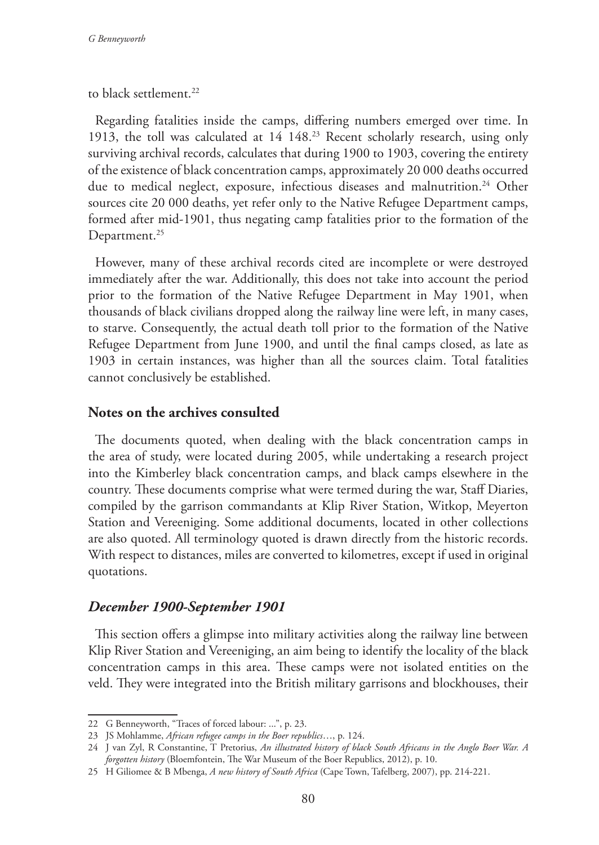to black settlement.<sup>22</sup>

Regarding fatalities inside the camps, differing numbers emerged over time. In 1913, the toll was calculated at 14 148.23 Recent scholarly research, using only surviving archival records, calculates that during 1900 to 1903, covering the entirety of the existence of black concentration camps, approximately 20 000 deaths occurred due to medical neglect, exposure, infectious diseases and malnutrition.<sup>24</sup> Other sources cite 20 000 deaths, yet refer only to the Native Refugee Department camps, formed after mid-1901, thus negating camp fatalities prior to the formation of the Department.<sup>25</sup>

However, many of these archival records cited are incomplete or were destroyed immediately after the war. Additionally, this does not take into account the period prior to the formation of the Native Refugee Department in May 1901, when thousands of black civilians dropped along the railway line were left, in many cases, to starve. Consequently, the actual death toll prior to the formation of the Native Refugee Department from June 1900, and until the final camps closed, as late as 1903 in certain instances, was higher than all the sources claim. Total fatalities cannot conclusively be established.

## **Notes on the archives consulted**

The documents quoted, when dealing with the black concentration camps in the area of study, were located during 2005, while undertaking a research project into the Kimberley black concentration camps, and black camps elsewhere in the country. These documents comprise what were termed during the war, Staff Diaries, compiled by the garrison commandants at Klip River Station, Witkop, Meyerton Station and Vereeniging. Some additional documents, located in other collections are also quoted. All terminology quoted is drawn directly from the historic records. With respect to distances, miles are converted to kilometres, except if used in original quotations.

## *December 1900-September 1901*

This section offers a glimpse into military activities along the railway line between Klip River Station and Vereeniging, an aim being to identify the locality of the black concentration camps in this area. These camps were not isolated entities on the veld. They were integrated into the British military garrisons and blockhouses, their

<sup>22</sup> G Benneyworth, "Traces of forced labour: ...", p. 23.

<sup>23</sup> JS Mohlamme, *African refugee camps in the Boer republics*…, p. 124.

<sup>24</sup> J van Zyl, R Constantine, T Pretorius, *An illustrated history of black South Africans in the Anglo Boer War. A forgotten history* (Bloemfontein, The War Museum of the Boer Republics, 2012), p. 10.

<sup>25</sup> H Giliomee & B Mbenga, *A new history of South Africa* (Cape Town, Tafelberg, 2007), pp. 214-221.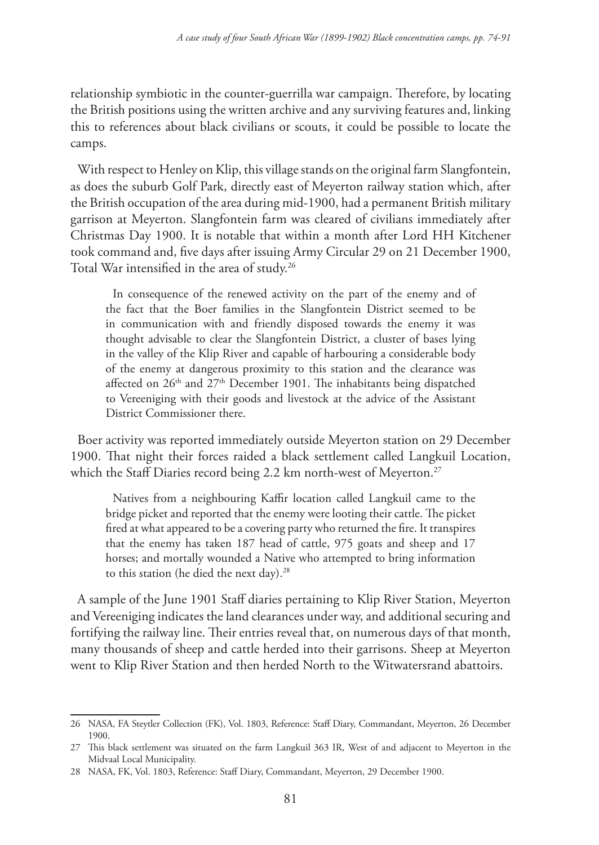relationship symbiotic in the counter-guerrilla war campaign. Therefore, by locating the British positions using the written archive and any surviving features and, linking this to references about black civilians or scouts, it could be possible to locate the camps.

With respect to Henley on Klip, this village stands on the original farm Slangfontein, as does the suburb Golf Park, directly east of Meyerton railway station which, after the British occupation of the area during mid-1900, had a permanent British military garrison at Meyerton. Slangfontein farm was cleared of civilians immediately after Christmas Day 1900. It is notable that within a month after Lord HH Kitchener took command and, five days after issuing Army Circular 29 on 21 December 1900, Total War intensified in the area of study.<sup>26</sup>

In consequence of the renewed activity on the part of the enemy and of the fact that the Boer families in the Slangfontein District seemed to be in communication with and friendly disposed towards the enemy it was thought advisable to clear the Slangfontein District, a cluster of bases lying in the valley of the Klip River and capable of harbouring a considerable body of the enemy at dangerous proximity to this station and the clearance was affected on  $26<sup>th</sup>$  and  $27<sup>th</sup>$  December 1901. The inhabitants being dispatched to Vereeniging with their goods and livestock at the advice of the Assistant District Commissioner there.

Boer activity was reported immediately outside Meyerton station on 29 December 1900. That night their forces raided a black settlement called Langkuil Location, which the Staff Diaries record being 2.2 km north-west of Meyerton.<sup>27</sup>

Natives from a neighbouring Kaffir location called Langkuil came to the bridge picket and reported that the enemy were looting their cattle. The picket fired at what appeared to be a covering party who returned the fire. It transpires that the enemy has taken 187 head of cattle, 975 goats and sheep and 17 horses; and mortally wounded a Native who attempted to bring information to this station (he died the next day).<sup>28</sup>

A sample of the June 1901 Staff diaries pertaining to Klip River Station, Meyerton and Vereeniging indicates the land clearances under way, and additional securing and fortifying the railway line. Their entries reveal that, on numerous days of that month, many thousands of sheep and cattle herded into their garrisons. Sheep at Meyerton went to Klip River Station and then herded North to the Witwatersrand abattoirs.

<sup>26</sup> NASA, FA Steytler Collection (FK), Vol. 1803, Reference: Staff Diary, Commandant, Meyerton, 26 December 1900.

<sup>27</sup> This black settlement was situated on the farm Langkuil 363 IR, West of and adjacent to Meyerton in the Midvaal Local Municipality.

<sup>28</sup> NASA, FK, Vol. 1803, Reference: Staff Diary, Commandant, Meyerton, 29 December 1900.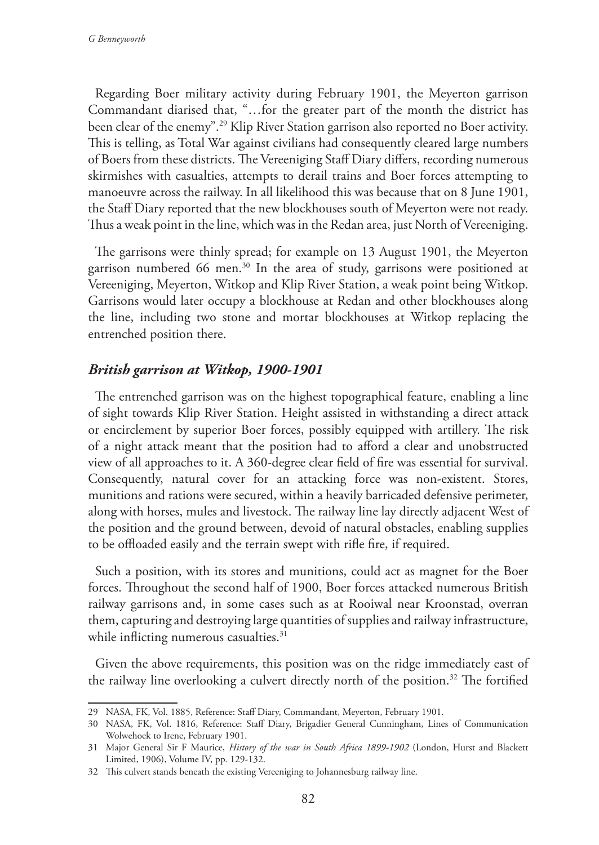Regarding Boer military activity during February 1901, the Meyerton garrison Commandant diarised that, "…for the greater part of the month the district has been clear of the enemy".29 Klip River Station garrison also reported no Boer activity. This is telling, as Total War against civilians had consequently cleared large numbers of Boers from these districts. The Vereeniging Staff Diary differs, recording numerous skirmishes with casualties, attempts to derail trains and Boer forces attempting to manoeuvre across the railway. In all likelihood this was because that on 8 June 1901, the Staff Diary reported that the new blockhouses south of Meyerton were not ready. Thus a weak point in the line, which was in the Redan area, just North of Vereeniging.

The garrisons were thinly spread; for example on 13 August 1901, the Meyerton garrison numbered 66 men.<sup>30</sup> In the area of study, garrisons were positioned at Vereeniging, Meyerton, Witkop and Klip River Station, a weak point being Witkop. Garrisons would later occupy a blockhouse at Redan and other blockhouses along the line, including two stone and mortar blockhouses at Witkop replacing the entrenched position there.

# *British garrison at Witkop, 1900-1901*

The entrenched garrison was on the highest topographical feature, enabling a line of sight towards Klip River Station. Height assisted in withstanding a direct attack or encirclement by superior Boer forces, possibly equipped with artillery. The risk of a night attack meant that the position had to afford a clear and unobstructed view of all approaches to it. A 360-degree clear field of fire was essential for survival. Consequently, natural cover for an attacking force was non-existent. Stores, munitions and rations were secured, within a heavily barricaded defensive perimeter, along with horses, mules and livestock. The railway line lay directly adjacent West of the position and the ground between, devoid of natural obstacles, enabling supplies to be offloaded easily and the terrain swept with rifle fire, if required.

Such a position, with its stores and munitions, could act as magnet for the Boer forces. Throughout the second half of 1900, Boer forces attacked numerous British railway garrisons and, in some cases such as at Rooiwal near Kroonstad, overran them, capturing and destroying large quantities of supplies and railway infrastructure, while inflicting numerous casualties.<sup>31</sup>

Given the above requirements, this position was on the ridge immediately east of the railway line overlooking a culvert directly north of the position.<sup>32</sup> The fortified

<sup>29</sup> NASA, FK, Vol. 1885, Reference: Staff Diary, Commandant, Meyerton, February 1901.

<sup>30</sup> NASA, FK, Vol. 1816, Reference: Staff Diary, Brigadier General Cunningham, Lines of Communication Wolwehoek to Irene, February 1901.

<sup>31</sup> Major General Sir F Maurice, *History of the war in South Africa 1899-1902* (London, Hurst and Blackett Limited, 1906), Volume IV, pp. 129-132.

<sup>32</sup> This culvert stands beneath the existing Vereeniging to Johannesburg railway line.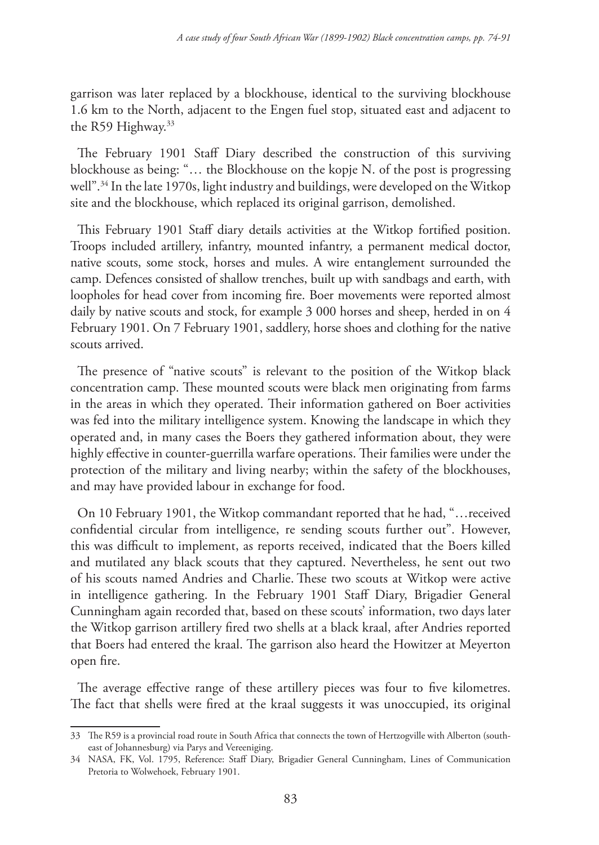garrison was later replaced by a blockhouse, identical to the surviving blockhouse 1.6 km to the North, adjacent to the Engen fuel stop, situated east and adjacent to the R59 Highway.<sup>33</sup>

The February 1901 Staff Diary described the construction of this surviving blockhouse as being: "… the Blockhouse on the kopje N. of the post is progressing well".34 In the late 1970s, light industry and buildings, were developed on the Witkop site and the blockhouse, which replaced its original garrison, demolished.

This February 1901 Staff diary details activities at the Witkop fortified position. Troops included artillery, infantry, mounted infantry, a permanent medical doctor, native scouts, some stock, horses and mules. A wire entanglement surrounded the camp. Defences consisted of shallow trenches, built up with sandbags and earth, with loopholes for head cover from incoming fire. Boer movements were reported almost daily by native scouts and stock, for example 3 000 horses and sheep, herded in on 4 February 1901. On 7 February 1901, saddlery, horse shoes and clothing for the native scouts arrived.

The presence of "native scouts" is relevant to the position of the Witkop black concentration camp. These mounted scouts were black men originating from farms in the areas in which they operated. Their information gathered on Boer activities was fed into the military intelligence system. Knowing the landscape in which they operated and, in many cases the Boers they gathered information about, they were highly effective in counter-guerrilla warfare operations. Their families were under the protection of the military and living nearby; within the safety of the blockhouses, and may have provided labour in exchange for food.

On 10 February 1901, the Witkop commandant reported that he had, "…received confidential circular from intelligence, re sending scouts further out". However, this was difficult to implement, as reports received, indicated that the Boers killed and mutilated any black scouts that they captured. Nevertheless, he sent out two of his scouts named Andries and Charlie. These two scouts at Witkop were active in intelligence gathering. In the February 1901 Staff Diary, Brigadier General Cunningham again recorded that, based on these scouts' information, two days later the Witkop garrison artillery fired two shells at a black kraal, after Andries reported that Boers had entered the kraal. The garrison also heard the Howitzer at Meyerton open fire.

The average effective range of these artillery pieces was four to five kilometres. The fact that shells were fired at the kraal suggests it was unoccupied, its original

<sup>33</sup> The R59 is a provincial road route in South Africa that connects the town of Hertzogville with Alberton (southeast of Johannesburg) via Parys and Vereeniging.

<sup>34</sup> NASA, FK, Vol. 1795, Reference: Staff Diary, Brigadier General Cunningham, Lines of Communication Pretoria to Wolwehoek, February 1901.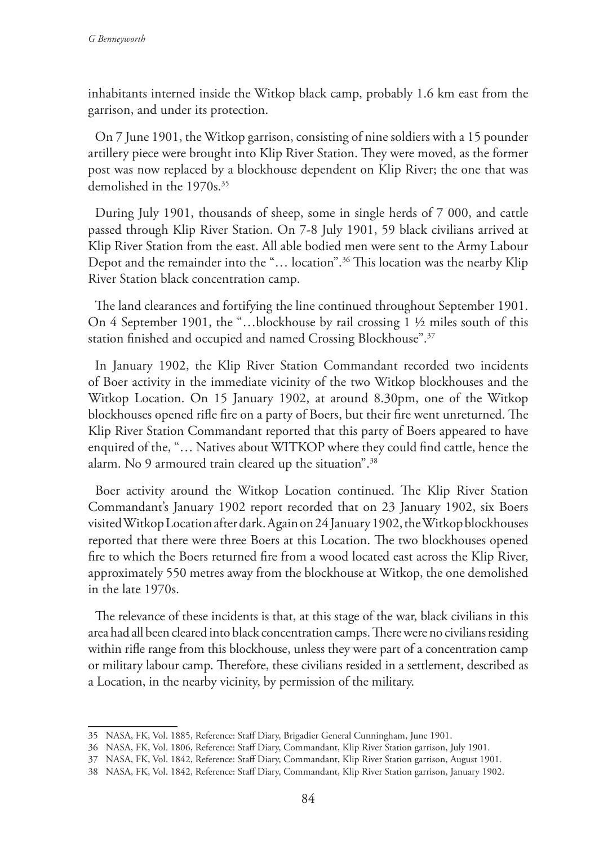inhabitants interned inside the Witkop black camp, probably 1.6 km east from the garrison, and under its protection.

On 7 June 1901, the Witkop garrison, consisting of nine soldiers with a 15 pounder artillery piece were brought into Klip River Station. They were moved, as the former post was now replaced by a blockhouse dependent on Klip River; the one that was demolished in the 1970s.<sup>35</sup>

During July 1901, thousands of sheep, some in single herds of 7 000, and cattle passed through Klip River Station. On 7-8 July 1901, 59 black civilians arrived at Klip River Station from the east. All able bodied men were sent to the Army Labour Depot and the remainder into the "… location".36 This location was the nearby Klip River Station black concentration camp.

The land clearances and fortifying the line continued throughout September 1901. On 4 September 1901, the "…blockhouse by rail crossing 1 ½ miles south of this station finished and occupied and named Crossing Blockhouse".37

In January 1902, the Klip River Station Commandant recorded two incidents of Boer activity in the immediate vicinity of the two Witkop blockhouses and the Witkop Location. On 15 January 1902, at around 8.30pm, one of the Witkop blockhouses opened rifle fire on a party of Boers, but their fire went unreturned. The Klip River Station Commandant reported that this party of Boers appeared to have enquired of the, "… Natives about WITKOP where they could find cattle, hence the alarm. No 9 armoured train cleared up the situation".38

Boer activity around the Witkop Location continued. The Klip River Station Commandant's January 1902 report recorded that on 23 January 1902, six Boers visited Witkop Location after dark. Again on 24 January 1902, the Witkop blockhouses reported that there were three Boers at this Location. The two blockhouses opened fire to which the Boers returned fire from a wood located east across the Klip River, approximately 550 metres away from the blockhouse at Witkop, the one demolished in the late 1970s.

The relevance of these incidents is that, at this stage of the war, black civilians in this area had all been cleared into black concentration camps. There were no civilians residing within rifle range from this blockhouse, unless they were part of a concentration camp or military labour camp. Therefore, these civilians resided in a settlement, described as a Location, in the nearby vicinity, by permission of the military.

<sup>35</sup> NASA, FK, Vol. 1885, Reference: Staff Diary, Brigadier General Cunningham, June 1901.

<sup>36</sup> NASA, FK, Vol. 1806, Reference: Staff Diary, Commandant, Klip River Station garrison, July 1901.

<sup>37</sup> NASA, FK, Vol. 1842, Reference: Staff Diary, Commandant, Klip River Station garrison, August 1901.

<sup>38</sup> NASA, FK, Vol. 1842, Reference: Staff Diary, Commandant, Klip River Station garrison, January 1902.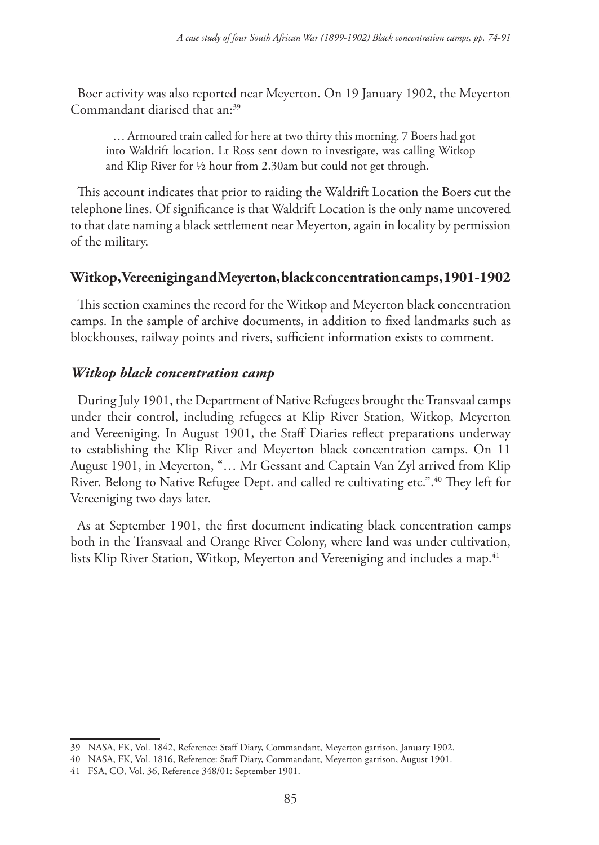Boer activity was also reported near Meyerton. On 19 January 1902, the Meyerton Commandant diarised that an:<sup>39</sup>

… Armoured train called for here at two thirty this morning. 7 Boers had got into Waldrift location. Lt Ross sent down to investigate, was calling Witkop and Klip River for ½ hour from 2.30am but could not get through.

This account indicates that prior to raiding the Waldrift Location the Boers cut the telephone lines. Of significance is that Waldrift Location is the only name uncovered to that date naming a black settlement near Meyerton, again in locality by permission of the military.

# **Witkop, Vereeniging and Meyerton, black concentration camps, 1901-1902**

This section examines the record for the Witkop and Meyerton black concentration camps. In the sample of archive documents, in addition to fixed landmarks such as blockhouses, railway points and rivers, sufficient information exists to comment.

# *Witkop black concentration camp*

During July 1901, the Department of Native Refugees brought the Transvaal camps under their control, including refugees at Klip River Station, Witkop, Meyerton and Vereeniging. In August 1901, the Staff Diaries reflect preparations underway to establishing the Klip River and Meyerton black concentration camps. On 11 August 1901, in Meyerton, "… Mr Gessant and Captain Van Zyl arrived from Klip River. Belong to Native Refugee Dept. and called re cultivating etc.".40 They left for Vereeniging two days later.

As at September 1901, the first document indicating black concentration camps both in the Transvaal and Orange River Colony, where land was under cultivation, lists Klip River Station, Witkop, Meyerton and Vereeniging and includes a map.<sup>41</sup>

<sup>39</sup> NASA, FK, Vol. 1842, Reference: Staff Diary, Commandant, Meyerton garrison, January 1902.

<sup>40</sup> NASA, FK, Vol. 1816, Reference: Staff Diary, Commandant, Meyerton garrison, August 1901.

<sup>41</sup> FSA, CO, Vol. 36, Reference 348/01: September 1901.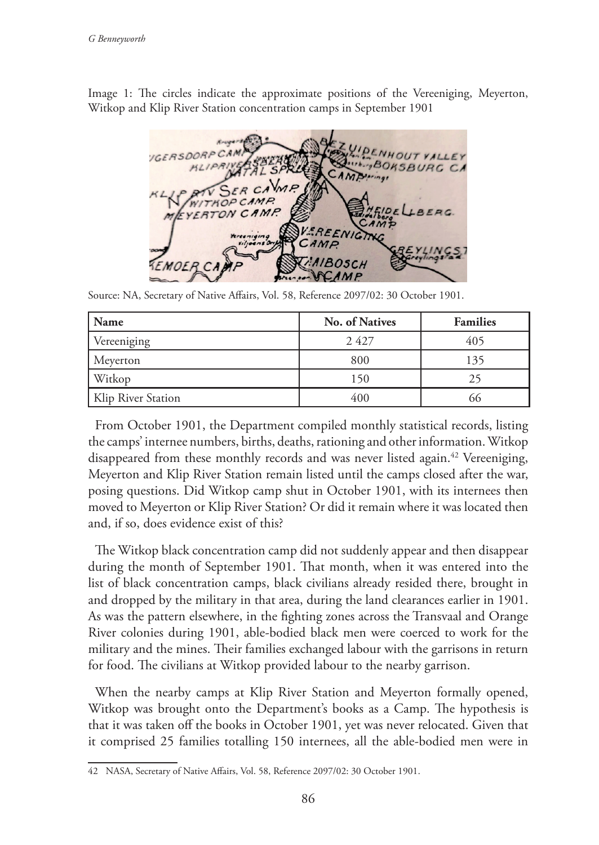Image 1: The circles indicate the approximate positions of the Vereeniging, Meyerton, Witkop and Klip River Station concentration camps in September 1901



Source: NA, Secretary of Native Affairs, Vol. 58, Reference 2097/02: 30 October 1901.

| Name               | No. of Natives | <b>Families</b> |
|--------------------|----------------|-----------------|
| Vereeniging        | 2427           | 405             |
| Meyerton           | 800            | 135             |
| Witkop             | 150            |                 |
| Klip River Station | 400            |                 |

From October 1901, the Department compiled monthly statistical records, listing the camps' internee numbers, births, deaths, rationing and other information. Witkop disappeared from these monthly records and was never listed again.<sup>42</sup> Vereeniging, Meyerton and Klip River Station remain listed until the camps closed after the war, posing questions. Did Witkop camp shut in October 1901, with its internees then moved to Meyerton or Klip River Station? Or did it remain where it was located then and, if so, does evidence exist of this?

The Witkop black concentration camp did not suddenly appear and then disappear during the month of September 1901. That month, when it was entered into the list of black concentration camps, black civilians already resided there, brought in and dropped by the military in that area, during the land clearances earlier in 1901. As was the pattern elsewhere, in the fighting zones across the Transvaal and Orange River colonies during 1901, able-bodied black men were coerced to work for the military and the mines. Their families exchanged labour with the garrisons in return for food. The civilians at Witkop provided labour to the nearby garrison.

When the nearby camps at Klip River Station and Meyerton formally opened, Witkop was brought onto the Department's books as a Camp. The hypothesis is that it was taken off the books in October 1901, yet was never relocated. Given that it comprised 25 families totalling 150 internees, all the able-bodied men were in

<sup>42</sup> NASA, Secretary of Native Affairs, Vol. 58, Reference 2097/02: 30 October 1901.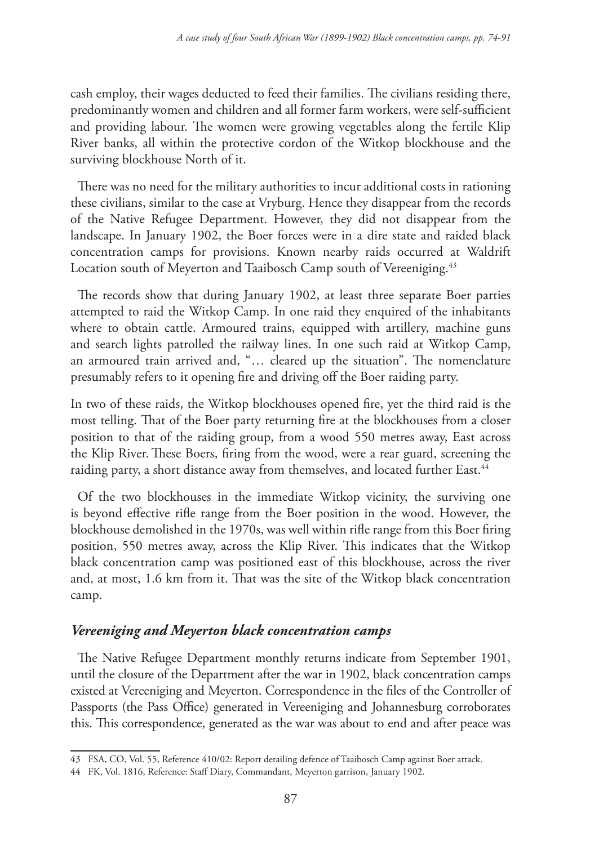cash employ, their wages deducted to feed their families. The civilians residing there, predominantly women and children and all former farm workers, were self-sufficient and providing labour. The women were growing vegetables along the fertile Klip River banks, all within the protective cordon of the Witkop blockhouse and the surviving blockhouse North of it.

There was no need for the military authorities to incur additional costs in rationing these civilians, similar to the case at Vryburg. Hence they disappear from the records of the Native Refugee Department. However, they did not disappear from the landscape. In January 1902, the Boer forces were in a dire state and raided black concentration camps for provisions. Known nearby raids occurred at Waldrift Location south of Meyerton and Taaibosch Camp south of Vereeniging.<sup>43</sup>

The records show that during January 1902, at least three separate Boer parties attempted to raid the Witkop Camp. In one raid they enquired of the inhabitants where to obtain cattle. Armoured trains, equipped with artillery, machine guns and search lights patrolled the railway lines. In one such raid at Witkop Camp, an armoured train arrived and, "… cleared up the situation". The nomenclature presumably refers to it opening fire and driving off the Boer raiding party.

In two of these raids, the Witkop blockhouses opened fire, yet the third raid is the most telling. That of the Boer party returning fire at the blockhouses from a closer position to that of the raiding group, from a wood 550 metres away, East across the Klip River.These Boers, firing from the wood, were a rear guard, screening the raiding party, a short distance away from themselves, and located further East.<sup>44</sup>

Of the two blockhouses in the immediate Witkop vicinity, the surviving one is beyond effective rifle range from the Boer position in the wood. However, the blockhouse demolished in the 1970s, was well within rifle range from this Boer firing position, 550 metres away, across the Klip River. This indicates that the Witkop black concentration camp was positioned east of this blockhouse, across the river and, at most, 1.6 km from it. That was the site of the Witkop black concentration camp.

# *Vereeniging and Meyerton black concentration camps*

The Native Refugee Department monthly returns indicate from September 1901, until the closure of the Department after the war in 1902, black concentration camps existed at Vereeniging and Meyerton. Correspondence in the files of the Controller of Passports (the Pass Office) generated in Vereeniging and Johannesburg corroborates this. This correspondence, generated as the war was about to end and after peace was

<sup>43</sup> FSA, CO, Vol. 55, Reference 410/02: Report detailing defence of Taaibosch Camp against Boer attack.

<sup>44</sup> FK, Vol. 1816, Reference: Staff Diary, Commandant, Meyerton garrison, January 1902.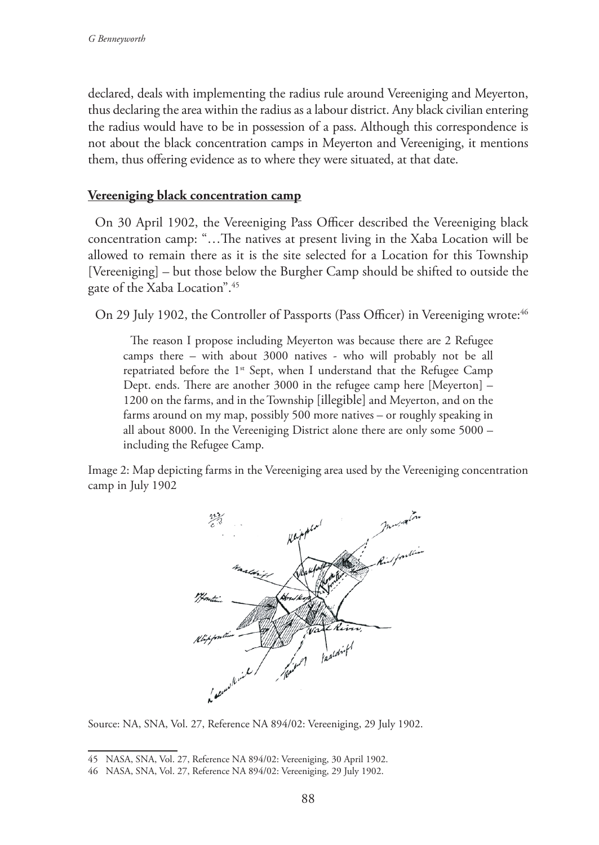declared, deals with implementing the radius rule around Vereeniging and Meyerton, thus declaring the area within the radius as a labour district. Any black civilian entering the radius would have to be in possession of a pass. Although this correspondence is not about the black concentration camps in Meyerton and Vereeniging, it mentions them, thus offering evidence as to where they were situated, at that date.

## **Vereeniging black concentration camp**

On 30 April 1902, the Vereeniging Pass Officer described the Vereeniging black concentration camp: "…The natives at present living in the Xaba Location will be allowed to remain there as it is the site selected for a Location for this Township [Vereeniging] – but those below the Burgher Camp should be shifted to outside the gate of the Xaba Location".45

On 29 July 1902, the Controller of Passports (Pass Officer) in Vereeniging wrote:<sup>46</sup>

The reason I propose including Meyerton was because there are 2 Refugee camps there – with about 3000 natives - who will probably not be all repatriated before the 1<sup>st</sup> Sept, when I understand that the Refugee Camp Dept. ends. There are another 3000 in the refugee camp here [Meyerton] – 1200 on the farms, and in the Township [illegible] and Meyerton, and on the farms around on my map, possibly 500 more natives – or roughly speaking in all about 8000. In the Vereeniging District alone there are only some 5000 – including the Refugee Camp.

Image 2: Map depicting farms in the Vereeniging area used by the Vereeniging concentration camp in July 1902



Source: NA, SNA, Vol. 27, Reference NA 894/02: Vereeniging, 29 July 1902.

<sup>45</sup> NASA, SNA, Vol. 27, Reference NA 894/02: Vereeniging, 30 April 1902.

<sup>46</sup> NASA, SNA, Vol. 27, Reference NA 894/02: Vereeniging, 29 July 1902.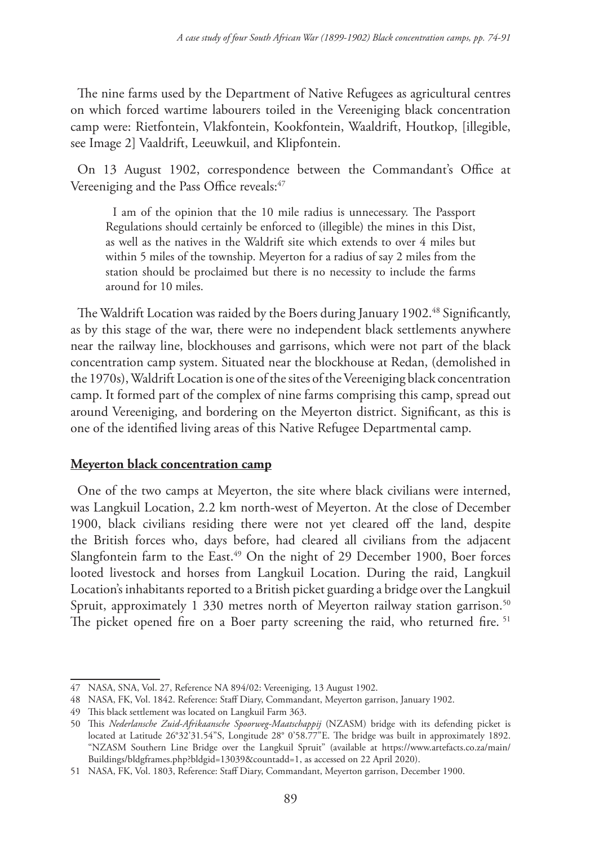The nine farms used by the Department of Native Refugees as agricultural centres on which forced wartime labourers toiled in the Vereeniging black concentration camp were: Rietfontein, Vlakfontein, Kookfontein, Waaldrift, Houtkop, [illegible, see Image 2] Vaaldrift, Leeuwkuil, and Klipfontein.

On 13 August 1902, correspondence between the Commandant's Office at Vereeniging and the Pass Office reveals:<sup>47</sup>

I am of the opinion that the 10 mile radius is unnecessary. The Passport Regulations should certainly be enforced to (illegible) the mines in this Dist, as well as the natives in the Waldrift site which extends to over 4 miles but within 5 miles of the township. Meyerton for a radius of say 2 miles from the station should be proclaimed but there is no necessity to include the farms around for 10 miles.

The Waldrift Location was raided by the Boers during January 1902.<sup>48</sup> Significantly, as by this stage of the war, there were no independent black settlements anywhere near the railway line, blockhouses and garrisons, which were not part of the black concentration camp system. Situated near the blockhouse at Redan, (demolished in the 1970s), Waldrift Location is one of the sites of the Vereeniging black concentration camp. It formed part of the complex of nine farms comprising this camp, spread out around Vereeniging, and bordering on the Meyerton district. Significant, as this is one of the identified living areas of this Native Refugee Departmental camp.

## **Meyerton black concentration camp**

One of the two camps at Meyerton, the site where black civilians were interned, was Langkuil Location, 2.2 km north-west of Meyerton. At the close of December 1900, black civilians residing there were not yet cleared off the land, despite the British forces who, days before, had cleared all civilians from the adjacent Slangfontein farm to the East.<sup>49</sup> On the night of 29 December 1900, Boer forces looted livestock and horses from Langkuil Location. During the raid, Langkuil Location's inhabitants reported to a British picket guarding a bridge over the Langkuil Spruit, approximately 1 330 metres north of Meyerton railway station garrison.<sup>50</sup> The picket opened fire on a Boer party screening the raid, who returned fire.<sup>51</sup>

<sup>47</sup> NASA, SNA, Vol. 27, Reference NA 894/02: Vereeniging, 13 August 1902.

<sup>48</sup> NASA, FK, Vol. 1842. Reference: Staff Diary, Commandant, Meyerton garrison, January 1902.

<sup>49</sup> This black settlement was located on Langkuil Farm 363.

<sup>50</sup> This *Nederlansche Zuid-Afrikaansche Spoorweg-Maatschappij* (NZASM) bridge with its defending picket is located at Latitude 26°32'31.54"S, Longitude 28° 0'58.77"E. The bridge was built in approximately 1892. "NZASM Southern Line Bridge over the Langkuil Spruit" (available at https://www.artefacts.co.za/main/ Buildings/bldgframes.php?bldgid=13039&countadd=1, as accessed on 22 April 2020).

<sup>51</sup> NASA, FK, Vol. 1803, Reference: Staff Diary, Commandant, Meyerton garrison, December 1900.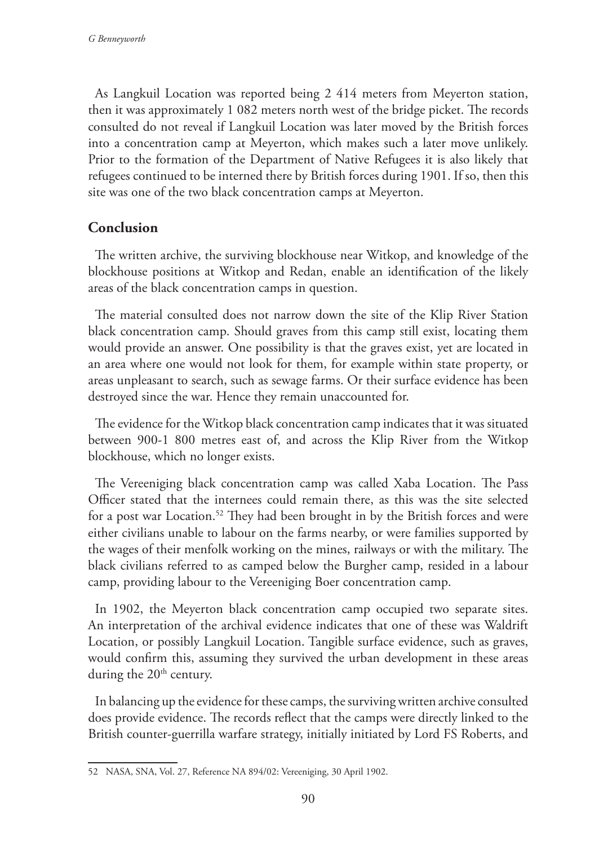As Langkuil Location was reported being 2 414 meters from Meyerton station, then it was approximately 1 082 meters north west of the bridge picket. The records consulted do not reveal if Langkuil Location was later moved by the British forces into a concentration camp at Meyerton, which makes such a later move unlikely. Prior to the formation of the Department of Native Refugees it is also likely that refugees continued to be interned there by British forces during 1901. If so, then this site was one of the two black concentration camps at Meyerton.

# **Conclusion**

The written archive, the surviving blockhouse near Witkop, and knowledge of the blockhouse positions at Witkop and Redan, enable an identification of the likely areas of the black concentration camps in question.

The material consulted does not narrow down the site of the Klip River Station black concentration camp. Should graves from this camp still exist, locating them would provide an answer. One possibility is that the graves exist, yet are located in an area where one would not look for them, for example within state property, or areas unpleasant to search, such as sewage farms. Or their surface evidence has been destroyed since the war. Hence they remain unaccounted for.

The evidence for the Witkop black concentration camp indicates that it was situated between 900-1 800 metres east of, and across the Klip River from the Witkop blockhouse, which no longer exists.

The Vereeniging black concentration camp was called Xaba Location. The Pass Officer stated that the internees could remain there, as this was the site selected for a post war Location.<sup>52</sup> They had been brought in by the British forces and were either civilians unable to labour on the farms nearby, or were families supported by the wages of their menfolk working on the mines, railways or with the military. The black civilians referred to as camped below the Burgher camp, resided in a labour camp, providing labour to the Vereeniging Boer concentration camp.

In 1902, the Meyerton black concentration camp occupied two separate sites. An interpretation of the archival evidence indicates that one of these was Waldrift Location, or possibly Langkuil Location. Tangible surface evidence, such as graves, would confirm this, assuming they survived the urban development in these areas during the  $20<sup>th</sup>$  century.

In balancing up the evidence for these camps, the surviving written archive consulted does provide evidence. The records reflect that the camps were directly linked to the British counter-guerrilla warfare strategy, initially initiated by Lord FS Roberts, and

<sup>52</sup> NASA, SNA, Vol. 27, Reference NA 894/02: Vereeniging, 30 April 1902.